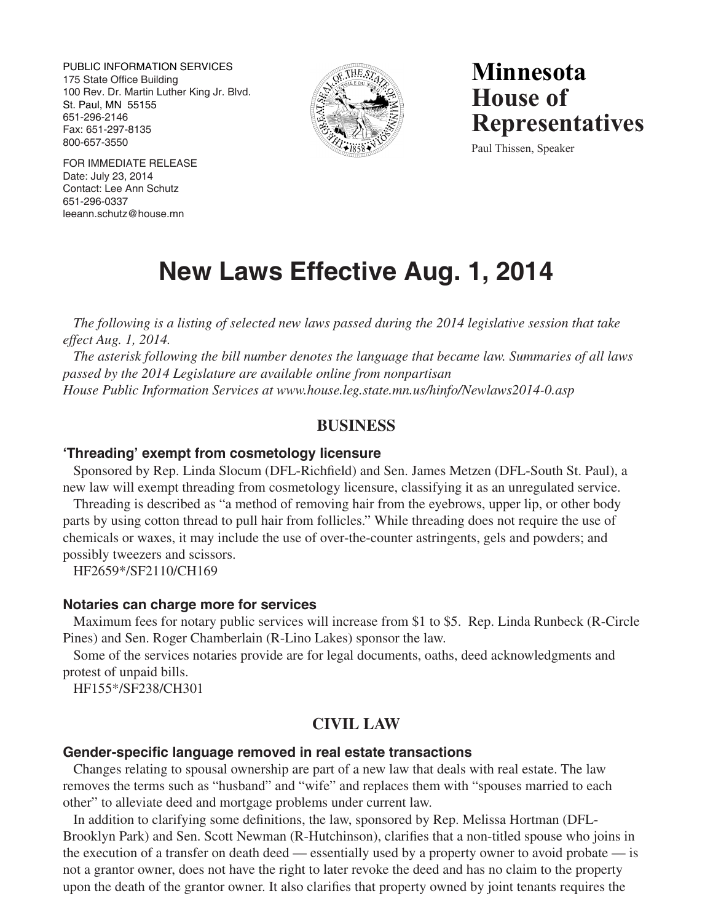PUBLIC INFORMATION SERVICES 175 State Office Building 100 Rev. Dr. Martin Luther King Jr. Blvd. St. Paul, MN 55155 651-296-2146 Fax: 651-297-8135 800-657-3550



**Minnesota House of Representatives**

Paul Thissen, Speaker

FOR IMMEDIATE RELEASE Date: July 23, 2014 Contact: Lee Ann Schutz 651-296-0337 leeann.schutz@house.mn

# **New Laws Effective Aug. 1, 2014**

*The following is a listing of selected new laws passed during the 2014 legislative session that take effect Aug. 1, 2014.* 

*The asterisk following the bill number denotes the language that became law. Summaries of all laws passed by the 2014 Legislature are available online from nonpartisan House Public Information Services at www.house.leg.state.mn.us/hinfo/Newlaws2014-0.asp*

# **BUSINESS**

## **'Threading' exempt from cosmetology licensure**

Sponsored by Rep. Linda Slocum (DFL-Richfield) and Sen. James Metzen (DFL-South St. Paul), a new law will exempt threading from cosmetology licensure, classifying it as an unregulated service.

Threading is described as "a method of removing hair from the eyebrows, upper lip, or other body parts by using cotton thread to pull hair from follicles." While threading does not require the use of chemicals or waxes, it may include the use of over-the-counter astringents, gels and powders; and possibly tweezers and scissors.

HF2659\*/SF2110/CH169

## **Notaries can charge more for services**

Maximum fees for notary public services will increase from \$1 to \$5. Rep. Linda Runbeck (R-Circle Pines) and Sen. Roger Chamberlain (R-Lino Lakes) sponsor the law.

Some of the services notaries provide are for legal documents, oaths, deed acknowledgments and protest of unpaid bills.

HF155\*/SF238/CH301

# **CIVIL LAW**

## **Gender-specific language removed in real estate transactions**

Changes relating to spousal ownership are part of a new law that deals with real estate. The law removes the terms such as "husband" and "wife" and replaces them with "spouses married to each other" to alleviate deed and mortgage problems under current law.

In addition to clarifying some definitions, the law, sponsored by Rep. Melissa Hortman (DFL-Brooklyn Park) and Sen. Scott Newman (R-Hutchinson), clarifies that a non-titled spouse who joins in the execution of a transfer on death deed — essentially used by a property owner to avoid probate — is not a grantor owner, does not have the right to later revoke the deed and has no claim to the property upon the death of the grantor owner. It also clarifies that property owned by joint tenants requires the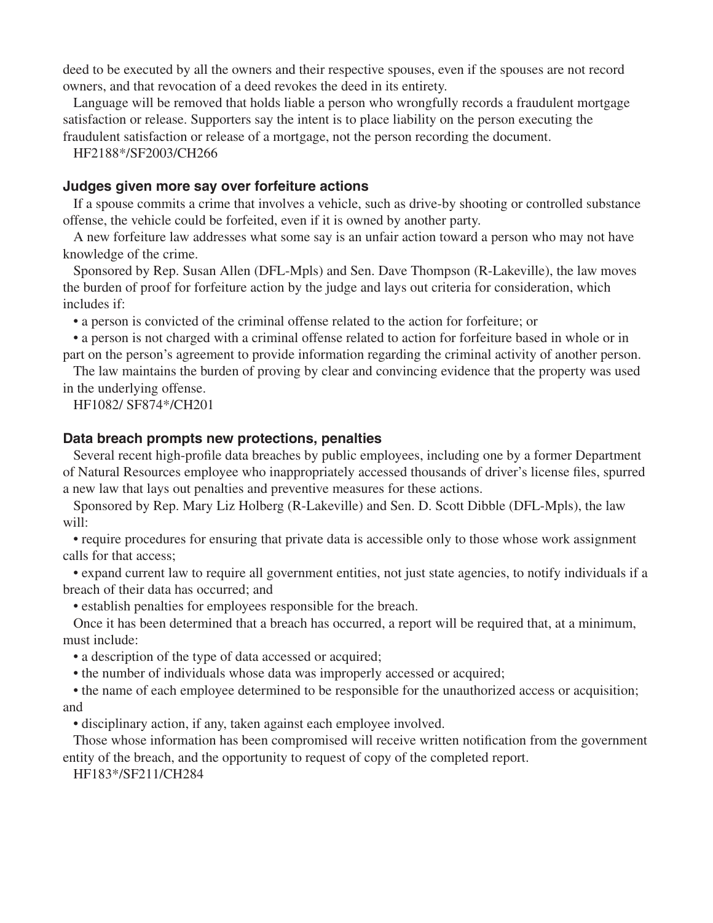deed to be executed by all the owners and their respective spouses, even if the spouses are not record owners, and that revocation of a deed revokes the deed in its entirety.

Language will be removed that holds liable a person who wrongfully records a fraudulent mortgage satisfaction or release. Supporters say the intent is to place liability on the person executing the fraudulent satisfaction or release of a mortgage, not the person recording the document.

HF2188\*/SF2003/CH266

## **Judges given more say over forfeiture actions**

If a spouse commits a crime that involves a vehicle, such as drive-by shooting or controlled substance offense, the vehicle could be forfeited, even if it is owned by another party.

A new forfeiture law addresses what some say is an unfair action toward a person who may not have knowledge of the crime.

Sponsored by Rep. Susan Allen (DFL-Mpls) and Sen. Dave Thompson (R-Lakeville), the law moves the burden of proof for forfeiture action by the judge and lays out criteria for consideration, which includes if:

 • a person is convicted of the criminal offense related to the action for forfeiture; or

 • a person is not charged with a criminal offense related to action for forfeiture based in whole or in part on the person's agreement to provide information regarding the criminal activity of another person.

The law maintains the burden of proving by clear and convincing evidence that the property was used in the underlying offense.

HF1082/ SF874\*/CH201

## **Data breach prompts new protections, penalties**

Several recent high-profile data breaches by public employees, including one by a former Department of Natural Resources employee who inappropriately accessed thousands of driver's license files, spurred a new law that lays out penalties and preventive measures for these actions.

Sponsored by Rep. Mary Liz Holberg (R-Lakeville) and Sen. D. Scott Dibble (DFL-Mpls), the law will:

 • require procedures for ensuring that private data is accessible only to those whose work assignment calls for that access;

 • expand current law to require all government entities, not just state agencies, to notify individuals if a breach of their data has occurred; and

 • establish penalties for employees responsible for the breach.

Once it has been determined that a breach has occurred, a report will be required that, at a minimum, must include:

 • a description of the type of data accessed or acquired;

 • the number of individuals whose data was improperly accessed or acquired;

 • the name of each employee determined to be responsible for the unauthorized access or acquisition; and

 • disciplinary action, if any, taken against each employee involved.

Those whose information has been compromised will receive written notification from the government entity of the breach, and the opportunity to request of copy of the completed report.

HF183\*/SF211/CH284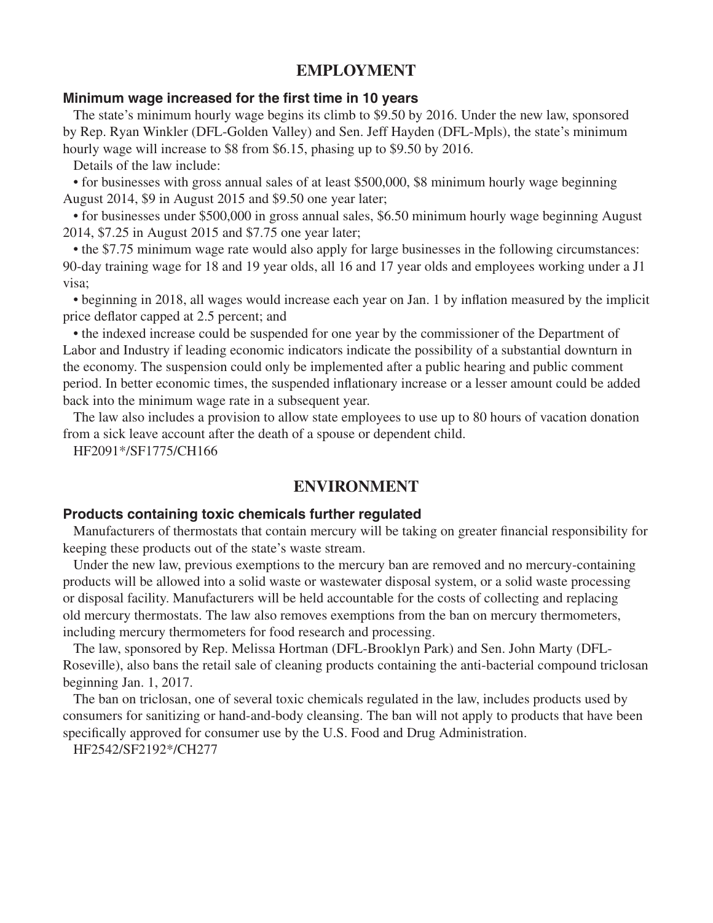# **EMPLOYMENT**

# **Minimum wage increased for the first time in 10 years**

The state's minimum hourly wage begins its climb to \$9.50 by 2016. Under the new law, sponsored by Rep. Ryan Winkler (DFL-Golden Valley) and Sen. Jeff Hayden (DFL-Mpls), the state's minimum hourly wage will increase to \$8 from \$6.15, phasing up to \$9.50 by 2016.

Details of the law include:

 • for businesses with gross annual sales of at least \$500,000, \$8 minimum hourly wage beginning August 2014, \$9 in August 2015 and \$9.50 one year later;

 • for businesses under \$500,000 in gross annual sales, \$6.50 minimum hourly wage beginning August 2014, \$7.25 in August 2015 and \$7.75 one year later;

 • the \$7.75 minimum wage rate would also apply for large businesses in the following circumstances: 90-day training wage for 18 and 19 year olds, all 16 and 17 year olds and employees working under a J1 visa;

 • beginning in 2018, all wages would increase each year on Jan. 1 by inflation measured by the implicit price deflator capped at 2.5 percent; and

 • the indexed increase could be suspended for one year by the commissioner of the Department of Labor and Industry if leading economic indicators indicate the possibility of a substantial downturn in the economy. The suspension could only be implemented after a public hearing and public comment period. In better economic times, the suspended inflationary increase or a lesser amount could be added back into the minimum wage rate in a subsequent year.

The law also includes a provision to allow state employees to use up to 80 hours of vacation donation from a sick leave account after the death of a spouse or dependent child.

HF2091\*/SF1775/CH166

# **ENVIRONMENT**

#### **Products containing toxic chemicals further regulated**

Manufacturers of thermostats that contain mercury will be taking on greater financial responsibility for keeping these products out of the state's waste stream.

Under the new law, previous exemptions to the mercury ban are removed and no mercury-containing products will be allowed into a solid waste or wastewater disposal system, or a solid waste processing or disposal facility. Manufacturers will be held accountable for the costs of collecting and replacing old mercury thermostats. The law also removes exemptions from the ban on mercury thermometers, including mercury thermometers for food research and processing.

The law, sponsored by Rep. Melissa Hortman (DFL-Brooklyn Park) and Sen. John Marty (DFL-Roseville), also bans the retail sale of cleaning products containing the anti-bacterial compound triclosan beginning Jan. 1, 2017.

The ban on triclosan, one of several toxic chemicals regulated in the law, includes products used by consumers for sanitizing or hand-and-body cleansing. The ban will not apply to products that have been specifically approved for consumer use by the U.S. Food and Drug Administration.

HF2542/SF2192\*/CH277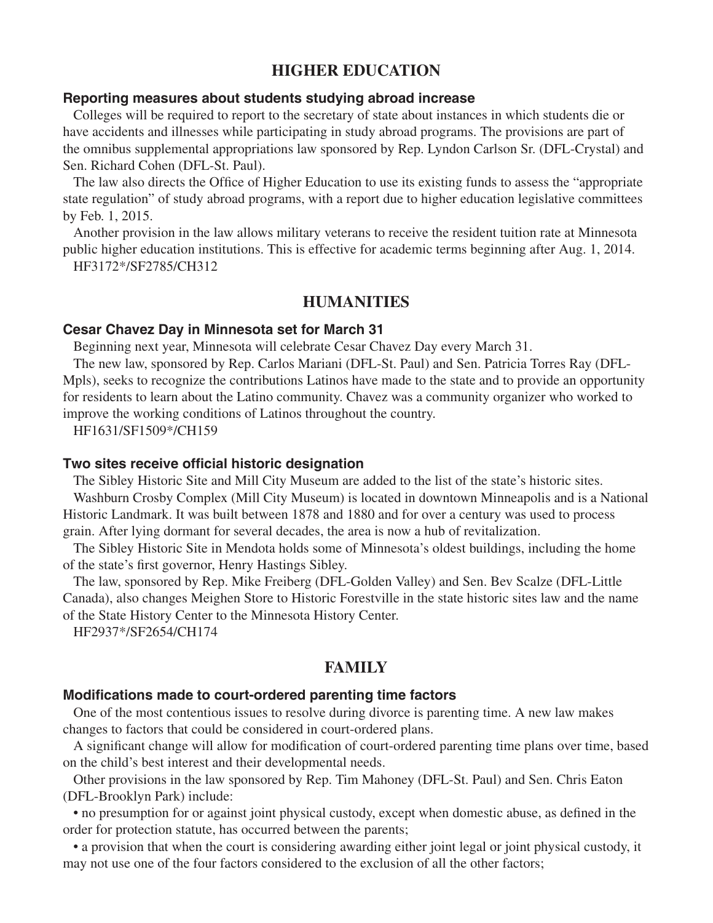# **HIGHER EDUCATION**

## **Reporting measures about students studying abroad increase**

Colleges will be required to report to the secretary of state about instances in which students die or have accidents and illnesses while participating in study abroad programs. The provisions are part of the omnibus supplemental appropriations law sponsored by Rep. Lyndon Carlson Sr. (DFL-Crystal) and Sen. Richard Cohen (DFL-St. Paul).

The law also directs the Office of Higher Education to use its existing funds to assess the "appropriate state regulation" of study abroad programs, with a report due to higher education legislative committees by Feb. 1, 2015.

Another provision in the law allows military veterans to receive the resident tuition rate at Minnesota public higher education institutions. This is effective for academic terms beginning after Aug. 1, 2014.

HF3172\*/SF2785/CH312

# **HUMANITIES**

#### **Cesar Chavez Day in Minnesota set for March 31**

Beginning next year, Minnesota will celebrate Cesar Chavez Day every March 31.

The new law, sponsored by Rep. Carlos Mariani (DFL-St. Paul) and Sen. Patricia Torres Ray (DFL-Mpls), seeks to recognize the contributions Latinos have made to the state and to provide an opportunity for residents to learn about the Latino community. Chavez was a community organizer who worked to improve the working conditions of Latinos throughout the country.

HF1631/SF1509\*/CH159

#### **Two sites receive official historic designation**

The Sibley Historic Site and Mill City Museum are added to the list of the state's historic sites. Washburn Crosby Complex (Mill City Museum) is located in downtown Minneapolis and is a National Historic Landmark. It was built between 1878 and 1880 and for over a century was used to process grain. After lying dormant for several decades, the area is now a hub of revitalization.

The Sibley Historic Site in Mendota holds some of Minnesota's oldest buildings, including the home of the state's first governor, Henry Hastings Sibley.

The law, sponsored by Rep. Mike Freiberg (DFL-Golden Valley) and Sen. Bev Scalze (DFL-Little Canada), also changes Meighen Store to Historic Forestville in the state historic sites law and the name of the State History Center to the Minnesota History Center.

HF2937\*/SF2654/CH174

# **FAMILY**

## **Modifications made to court-ordered parenting time factors**

One of the most contentious issues to resolve during divorce is parenting time. A new law makes changes to factors that could be considered in court-ordered plans.

A significant change will allow for modification of court-ordered parenting time plans over time, based on the child's best interest and their developmental needs.

Other provisions in the law sponsored by Rep. Tim Mahoney (DFL-St. Paul) and Sen. Chris Eaton (DFL-Brooklyn Park) include:

 • no presumption for or against joint physical custody, except when domestic abuse, as defined in the order for protection statute, has occurred between the parents;

 • a provision that when the court is considering awarding either joint legal or joint physical custody, it may not use one of the four factors considered to the exclusion of all the other factors;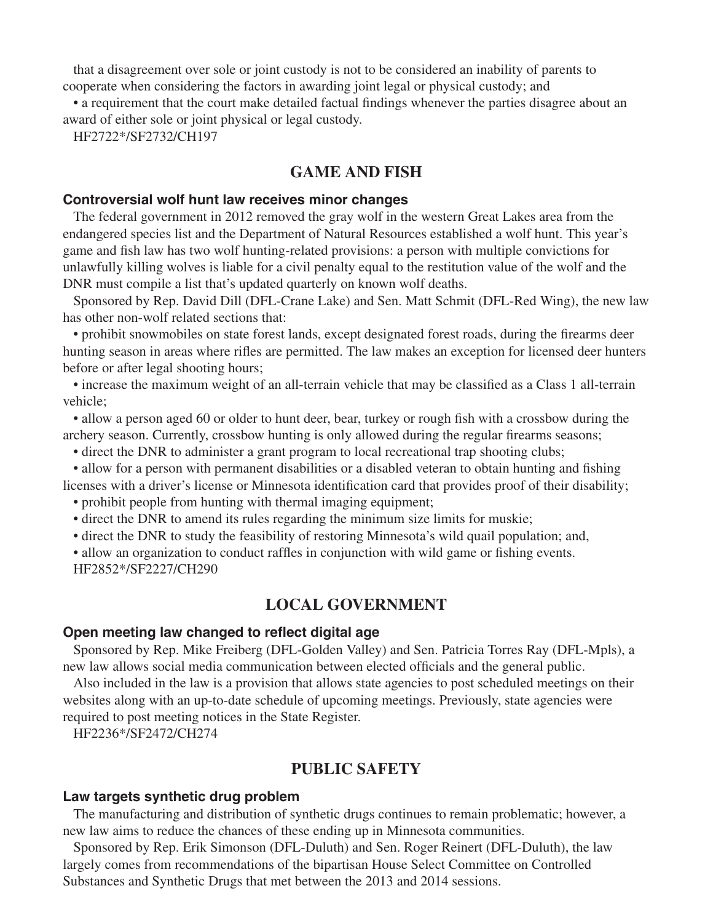that a disagreement over sole or joint custody is not to be considered an inability of parents to cooperate when considering the factors in awarding joint legal or physical custody; and

 • a requirement that the court make detailed factual findings whenever the parties disagree about an award of either sole or joint physical or legal custody.

HF2722\*/SF2732/CH197

# **GAME AND FISH**

#### **Controversial wolf hunt law receives minor changes**

The federal government in 2012 removed the gray wolf in the western Great Lakes area from the endangered species list and the Department of Natural Resources established a wolf hunt. This year's game and fish law has two wolf hunting-related provisions: a person with multiple convictions for unlawfully killing wolves is liable for a civil penalty equal to the restitution value of the wolf and the DNR must compile a list that's updated quarterly on known wolf deaths.

Sponsored by Rep. David Dill (DFL-Crane Lake) and Sen. Matt Schmit (DFL-Red Wing), the new law has other non-wolf related sections that:

 • prohibit snowmobiles on state forest lands, except designated forest roads, during the firearms deer hunting season in areas where rifles are permitted. The law makes an exception for licensed deer hunters before or after legal shooting hours;

 • increase the maximum weight of an all-terrain vehicle that may be classified as a Class 1 all-terrain vehicle;

 • allow a person aged 60 or older to hunt deer, bear, turkey or rough fish with a crossbow during the archery season. Currently, crossbow hunting is only allowed during the regular firearms seasons;

 • direct the DNR to administer a grant program to local recreational trap shooting clubs;

 • allow for a person with permanent disabilities or a disabled veteran to obtain hunting and fishing licenses with a driver's license or Minnesota identification card that provides proof of their disability;

 • prohibit people from hunting with thermal imaging equipment;

 • direct the DNR to amend its rules regarding the minimum size limits for muskie;

 • direct the DNR to study the feasibility of restoring Minnesota's wild quail population; and,

 • allow an organization to conduct raffles in conjunction with wild game or fishing events.

HF2852\*/SF2227/CH290

# **LOCAL GOVERNMENT**

### **Open meeting law changed to reflect digital age**

Sponsored by Rep. Mike Freiberg (DFL-Golden Valley) and Sen. Patricia Torres Ray (DFL-Mpls), a new law allows social media communication between elected officials and the general public.

Also included in the law is a provision that allows state agencies to post scheduled meetings on their websites along with an up-to-date schedule of upcoming meetings. Previously, state agencies were required to post meeting notices in the State Register.

HF2236\*/SF2472/CH274

# **PUBLIC SAFETY**

## **Law targets synthetic drug problem**

The manufacturing and distribution of synthetic drugs continues to remain problematic; however, a new law aims to reduce the chances of these ending up in Minnesota communities.

Sponsored by Rep. Erik Simonson (DFL-Duluth) and Sen. Roger Reinert (DFL-Duluth), the law largely comes from recommendations of the bipartisan House Select Committee on Controlled Substances and Synthetic Drugs that met between the 2013 and 2014 sessions.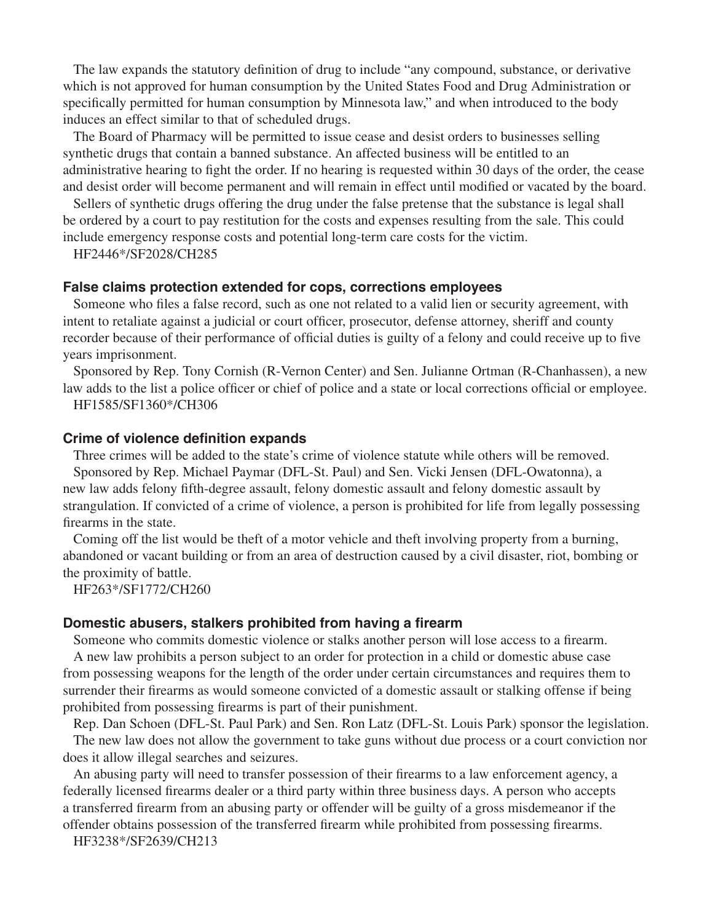The law expands the statutory definition of drug to include "any compound, substance, or derivative which is not approved for human consumption by the United States Food and Drug Administration or specifically permitted for human consumption by Minnesota law," and when introduced to the body induces an effect similar to that of scheduled drugs.

The Board of Pharmacy will be permitted to issue cease and desist orders to businesses selling synthetic drugs that contain a banned substance. An affected business will be entitled to an administrative hearing to fight the order. If no hearing is requested within 30 days of the order, the cease and desist order will become permanent and will remain in effect until modified or vacated by the board.

Sellers of synthetic drugs offering the drug under the false pretense that the substance is legal shall be ordered by a court to pay restitution for the costs and expenses resulting from the sale. This could include emergency response costs and potential long-term care costs for the victim.

HF2446\*/SF2028/CH285

## **False claims protection extended for cops, corrections employees**

Someone who files a false record, such as one not related to a valid lien or security agreement, with intent to retaliate against a judicial or court officer, prosecutor, defense attorney, sheriff and county recorder because of their performance of official duties is guilty of a felony and could receive up to five years imprisonment.

Sponsored by Rep. Tony Cornish (R-Vernon Center) and Sen. Julianne Ortman (R-Chanhassen), a new law adds to the list a police officer or chief of police and a state or local corrections official or employee. HF1585/SF1360\*/CH306

#### **Crime of violence definition expands**

Three crimes will be added to the state's crime of violence statute while others will be removed. Sponsored by Rep. Michael Paymar (DFL-St. Paul) and Sen. Vicki Jensen (DFL-Owatonna), a new law adds felony fifth-degree assault, felony domestic assault and felony domestic assault by strangulation. If convicted of a crime of violence, a person is prohibited for life from legally possessing firearms in the state.

Coming off the list would be theft of a motor vehicle and theft involving property from a burning, abandoned or vacant building or from an area of destruction caused by a civil disaster, riot, bombing or the proximity of battle.

HF263\*/SF1772/CH260

## **Domestic abusers, stalkers prohibited from having a firearm**

Someone who commits domestic violence or stalks another person will lose access to a firearm.

A new law prohibits a person subject to an order for protection in a child or domestic abuse case from possessing weapons for the length of the order under certain circumstances and requires them to surrender their firearms as would someone convicted of a domestic assault or stalking offense if being prohibited from possessing firearms is part of their punishment.

Rep. Dan Schoen (DFL-St. Paul Park) and Sen. Ron Latz (DFL-St. Louis Park) sponsor the legislation. The new law does not allow the government to take guns without due process or a court conviction nor does it allow illegal searches and seizures.

An abusing party will need to transfer possession of their firearms to a law enforcement agency, a federally licensed firearms dealer or a third party within three business days. A person who accepts a transferred firearm from an abusing party or offender will be guilty of a gross misdemeanor if the offender obtains possession of the transferred firearm while prohibited from possessing firearms.

HF3238\*/SF2639/CH213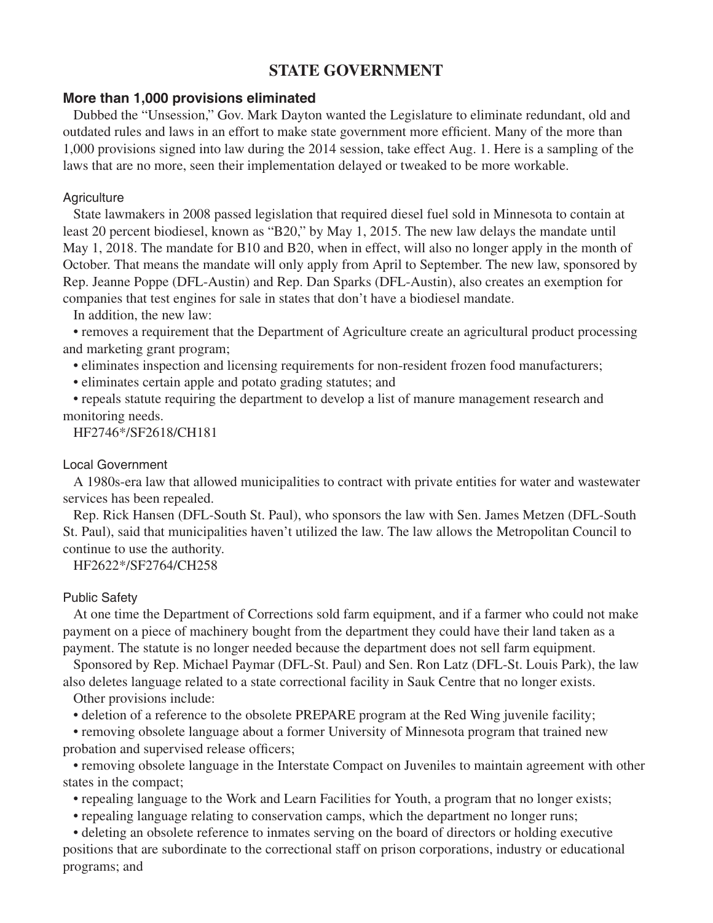# **STATE GOVERNMENT**

# **More than 1,000 provisions eliminated**

Dubbed the "Unsession," Gov. Mark Dayton wanted the Legislature to eliminate redundant, old and outdated rules and laws in an effort to make state government more efficient. Many of the more than 1,000 provisions signed into law during the 2014 session, take effect Aug. 1. Here is a sampling of the laws that are no more, seen their implementation delayed or tweaked to be more workable.

## **Agriculture**

State lawmakers in 2008 passed legislation that required diesel fuel sold in Minnesota to contain at least 20 percent biodiesel, known as "B20," by May 1, 2015. The new law delays the mandate until May 1, 2018. The mandate for B10 and B20, when in effect, will also no longer apply in the month of October. That means the mandate will only apply from April to September. The new law, sponsored by Rep. Jeanne Poppe (DFL-Austin) and Rep. Dan Sparks (DFL-Austin), also creates an exemption for companies that test engines for sale in states that don't have a biodiesel mandate.

In addition, the new law:

 • removes a requirement that the Department of Agriculture create an agricultural product processing and marketing grant program;

 • eliminates inspection and licensing requirements for non-resident frozen food manufacturers;

 • eliminates certain apple and potato grading statutes; and

 • repeals statute requiring the department to develop a list of manure management research and monitoring needs.

HF2746\*/SF2618/CH181

## Local Government

A 1980s-era law that allowed municipalities to contract with private entities for water and wastewater services has been repealed.

Rep. Rick Hansen (DFL-South St. Paul), who sponsors the law with Sen. James Metzen (DFL-South St. Paul), said that municipalities haven't utilized the law. The law allows the Metropolitan Council to continue to use the authority.

HF2622\*/SF2764/CH258

## Public Safety

At one time the Department of Corrections sold farm equipment, and if a farmer who could not make payment on a piece of machinery bought from the department they could have their land taken as a payment. The statute is no longer needed because the department does not sell farm equipment.

Sponsored by Rep. Michael Paymar (DFL-St. Paul) and Sen. Ron Latz (DFL-St. Louis Park), the law also deletes language related to a state correctional facility in Sauk Centre that no longer exists.

Other provisions include:

 • deletion of a reference to the obsolete PREPARE program at the Red Wing juvenile facility;

 • removing obsolete language about a former University of Minnesota program that trained new probation and supervised release officers;

 • removing obsolete language in the Interstate Compact on Juveniles to maintain agreement with other states in the compact;

 • repealing language to the Work and Learn Facilities for Youth, a program that no longer exists;

 • repealing language relating to conservation camps, which the department no longer runs;

 • deleting an obsolete reference to inmates serving on the board of directors or holding executive positions that are subordinate to the correctional staff on prison corporations, industry or educational programs; and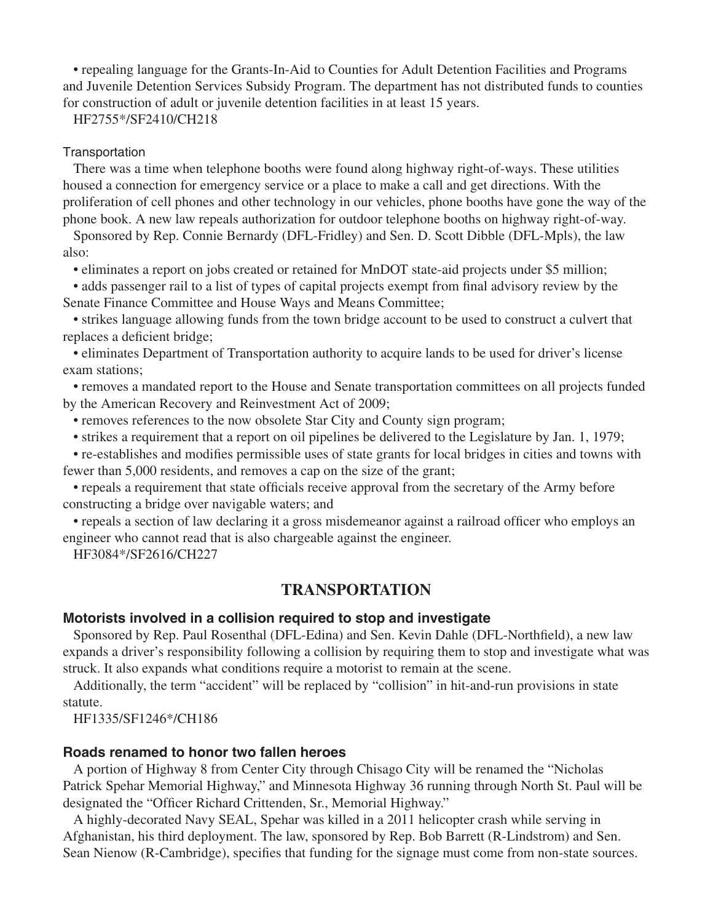• repealing language for the Grants-In-Aid to Counties for Adult Detention Facilities and Programs and Juvenile Detention Services Subsidy Program. The department has not distributed funds to counties for construction of adult or juvenile detention facilities in at least 15 years.

HF2755\*/SF2410/CH218

#### **Transportation**

There was a time when telephone booths were found along highway right-of-ways. These utilities housed a connection for emergency service or a place to make a call and get directions. With the proliferation of cell phones and other technology in our vehicles, phone booths have gone the way of the phone book. A new law repeals authorization for outdoor telephone booths on highway right-of-way.

Sponsored by Rep. Connie Bernardy (DFL-Fridley) and Sen. D. Scott Dibble (DFL-Mpls), the law also:

 • eliminates a report on jobs created or retained for MnDOT state-aid projects under \$5 million;

 • adds passenger rail to a list of types of capital projects exempt from final advisory review by the Senate Finance Committee and House Ways and Means Committee;

 • strikes language allowing funds from the town bridge account to be used to construct a culvert that replaces a deficient bridge;

 • eliminates Department of Transportation authority to acquire lands to be used for driver's license exam stations;

 • removes a mandated report to the House and Senate transportation committees on all projects funded by the American Recovery and Reinvestment Act of 2009;

 • removes references to the now obsolete Star City and County sign program;

 • strikes a requirement that a report on oil pipelines be delivered to the Legislature by Jan. 1, 1979;

 • re-establishes and modifies permissible uses of state grants for local bridges in cities and towns with fewer than 5,000 residents, and removes a cap on the size of the grant;

 • repeals a requirement that state officials receive approval from the secretary of the Army before constructing a bridge over navigable waters; and

 • repeals a section of law declaring it a gross misdemeanor against a railroad officer who employs an engineer who cannot read that is also chargeable against the engineer.

HF3084\*/SF2616/CH227

# **TRANSPORTATION**

## **Motorists involved in a collision required to stop and investigate**

Sponsored by Rep. Paul Rosenthal (DFL-Edina) and Sen. Kevin Dahle (DFL-Northfield), a new law expands a driver's responsibility following a collision by requiring them to stop and investigate what was struck. It also expands what conditions require a motorist to remain at the scene.

Additionally, the term "accident" will be replaced by "collision" in hit-and-run provisions in state statute.

HF1335/SF1246\*/CH186

# **Roads renamed to honor two fallen heroes**

A portion of Highway 8 from Center City through Chisago City will be renamed the "Nicholas Patrick Spehar Memorial Highway," and Minnesota Highway 36 running through North St. Paul will be designated the "Officer Richard Crittenden, Sr., Memorial Highway."

A highly-decorated Navy SEAL, Spehar was killed in a 2011 helicopter crash while serving in Afghanistan, his third deployment. The law, sponsored by Rep. Bob Barrett (R-Lindstrom) and Sen. Sean Nienow (R-Cambridge), specifies that funding for the signage must come from non-state sources.